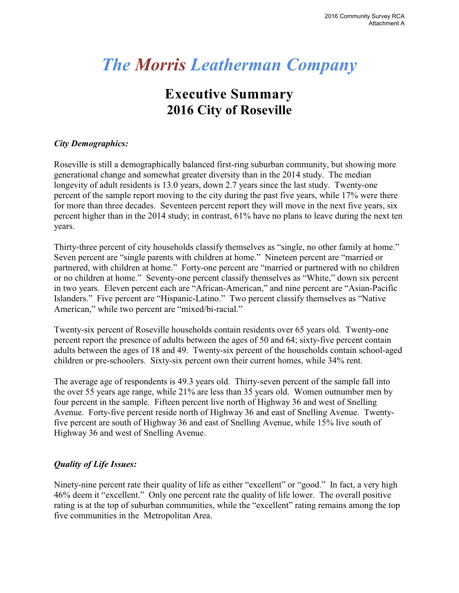# **Executive Summary 2016 City of Roseville**

# *City Demographics:*

Roseville is still a demographically balanced first-ring suburban community, but showing more generational change and somewhat greater diversity than in the 2014 study. The median longevity of adult residents is 13.0 years, down 2.7 years since the last study. Twenty-one percent of the sample report moving to the city during the past five years, while 17% were there for more than three decades. Seventeen percent report they will move in the next five years, six percent higher than in the 2014 study; in contrast, 61% have no plans to leave during the next ten years.

Thirty-three percent of city households classify themselves as "single, no other family at home." Seven percent are "single parents with children at home." Nineteen percent are "married or partnered, with children at home." Forty-one percent are "married or partnered with no children or no children at home." Seventy-one percent classify themselves as "White," down six percent in two years. Eleven percent each are "African-American," and nine percent are "Asian-Pacific Islanders." Five percent are "Hispanic-Latino." Two percent classify themselves as "Native American," while two percent are "mixed/bi-racial."

Twenty-six percent of Roseville households contain residents over 65 years old. Twenty-one percent report the presence of adults between the ages of 50 and 64; sixty-five percent contain adults between the ages of 18 and 49. Twenty-six percent of the households contain school-aged children or pre-schoolers. Sixty-six percent own their current homes, while 34% rent.

The average age of respondents is 49.3 years old. Thirty-seven percent of the sample fall into the over 55 years age range, while 21% are less than 35 years old. Women outnumber men by four percent in the sample. Fifteen percent live north of Highway 36 and west of Snelling Avenue. Forty-five percent reside north of Highway 36 and east of Snelling Avenue. Twentyfive percent are south of Highway 36 and east of Snelling Avenue, while 15% live south of Highway 36 and west of Snelling Avenue.

# *Quality of Life Issues:*

Ninety-nine percent rate their quality of life as either "excellent" or "good." In fact, a very high 46% deem it "excellent." Only one percent rate the quality of life lower. The overall positive rating is at the top of suburban communities, while the "excellent" rating remains among the top five communities in the Metropolitan Area.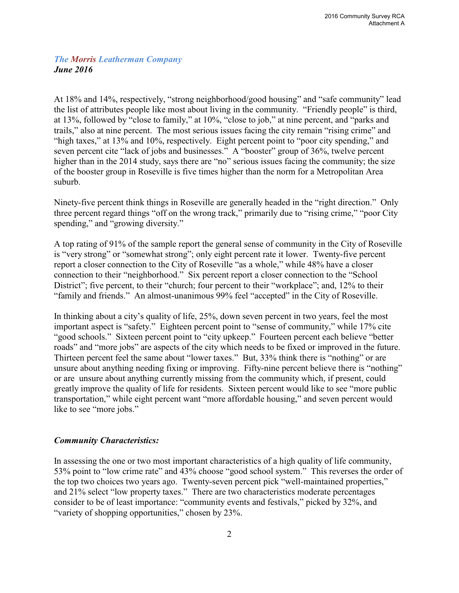At 18% and 14%, respectively, "strong neighborhood/good housing" and "safe community" lead the list of attributes people like most about living in the community. "Friendly people" is third, at 13%, followed by "close to family," at 10%, "close to job," at nine percent, and "parks and trails," also at nine percent. The most serious issues facing the city remain "rising crime" and "high taxes," at 13% and 10%, respectively. Eight percent point to "poor city spending," and seven percent cite "lack of jobs and businesses." A "booster" group of 36%, twelve percent higher than in the 2014 study, says there are "no" serious issues facing the community; the size of the booster group in Roseville is five times higher than the norm for a Metropolitan Area suburb.

Ninety-five percent think things in Roseville are generally headed in the "right direction." Only three percent regard things "off on the wrong track," primarily due to "rising crime," "poor City spending," and "growing diversity."

A top rating of 91% of the sample report the general sense of community in the City of Roseville is "very strong" or "somewhat strong"; only eight percent rate it lower. Twenty-five percent report a closer connection to the City of Roseville "as a whole," while 48% have a closer connection to their "neighborhood." Six percent report a closer connection to the "School District"; five percent, to their "church; four percent to their "workplace"; and, 12% to their "family and friends." An almost-unanimous 99% feel "accepted" in the City of Roseville.

In thinking about a city's quality of life, 25%, down seven percent in two years, feel the most important aspect is "safety." Eighteen percent point to "sense of community," while 17% cite "good schools." Sixteen percent point to "city upkeep." Fourteen percent each believe "better roads" and "more jobs" are aspects of the city which needs to be fixed or improved in the future. Thirteen percent feel the same about "lower taxes." But, 33% think there is "nothing" or are unsure about anything needing fixing or improving. Fifty-nine percent believe there is "nothing" or are unsure about anything currently missing from the community which, if present, could greatly improve the quality of life for residents. Sixteen percent would like to see "more public transportation," while eight percent want "more affordable housing," and seven percent would like to see "more jobs."

#### *Community Characteristics:*

In assessing the one or two most important characteristics of a high quality of life community, 53% point to "low crime rate" and 43% choose "good school system." This reverses the order of the top two choices two years ago. Twenty-seven percent pick "well-maintained properties," and 21% select "low property taxes." There are two characteristics moderate percentages consider to be of least importance: "community events and festivals," picked by 32%, and "variety of shopping opportunities," chosen by 23%.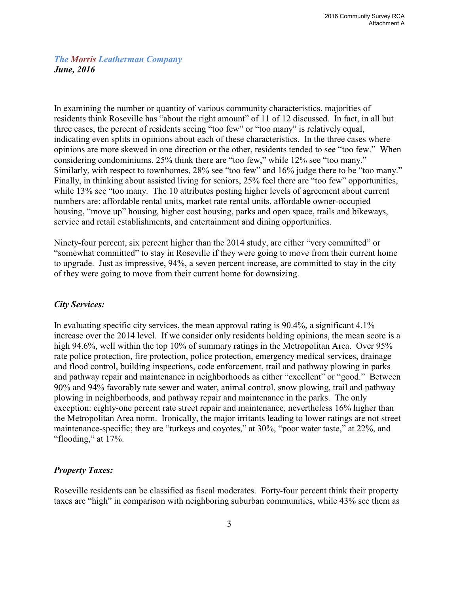In examining the number or quantity of various community characteristics, majorities of residents think Roseville has "about the right amount" of 11 of 12 discussed. In fact, in all but three cases, the percent of residents seeing "too few" or "too many" is relatively equal, indicating even splits in opinions about each of these characteristics. In the three cases where opinions are more skewed in one direction or the other, residents tended to see "too few." When considering condominiums, 25% think there are "too few," while 12% see "too many." Similarly, with respect to townhomes, 28% see "too few" and 16% judge there to be "too many." Finally, in thinking about assisted living for seniors, 25% feel there are "too few" opportunities, while 13% see "too many. The 10 attributes posting higher levels of agreement about current numbers are: affordable rental units, market rate rental units, affordable owner-occupied housing, "move up" housing, higher cost housing, parks and open space, trails and bikeways, service and retail establishments, and entertainment and dining opportunities.

Ninety-four percent, six percent higher than the 2014 study, are either "very committed" or "somewhat committed" to stay in Roseville if they were going to move from their current home to upgrade. Just as impressive, 94%, a seven percent increase, are committed to stay in the city of they were going to move from their current home for downsizing.

#### *City Services:*

In evaluating specific city services, the mean approval rating is 90.4%, a significant 4.1% increase over the 2014 level. If we consider only residents holding opinions, the mean score is a high 94.6%, well within the top 10% of summary ratings in the Metropolitan Area. Over 95% rate police protection, fire protection, police protection, emergency medical services, drainage and flood control, building inspections, code enforcement, trail and pathway plowing in parks and pathway repair and maintenance in neighborhoods as either "excellent" or "good." Between 90% and 94% favorably rate sewer and water, animal control, snow plowing, trail and pathway plowing in neighborhoods, and pathway repair and maintenance in the parks. The only exception: eighty-one percent rate street repair and maintenance, nevertheless 16% higher than the Metropolitan Area norm. Ironically, the major irritants leading to lower ratings are not street maintenance-specific; they are "turkeys and coyotes," at 30%, "poor water taste," at 22%, and "flooding," at 17%.

#### *Property Taxes:*

Roseville residents can be classified as fiscal moderates. Forty-four percent think their property taxes are "high" in comparison with neighboring suburban communities, while 43% see them as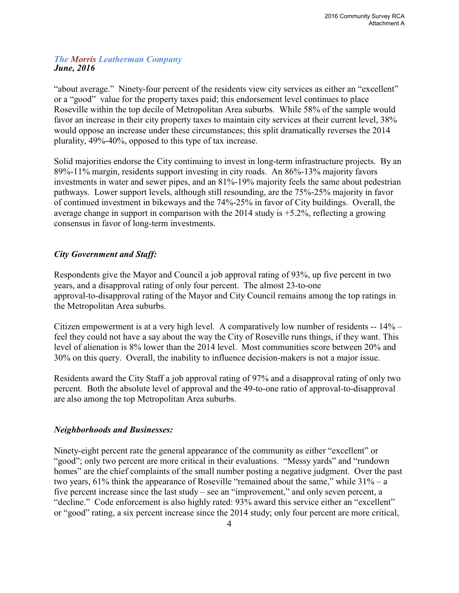"about average." Ninety-four percent of the residents view city services as either an "excellent" or a "good" value for the property taxes paid; this endorsement level continues to place Roseville within the top decile of Metropolitan Area suburbs. While 58% of the sample would favor an increase in their city property taxes to maintain city services at their current level, 38% would oppose an increase under these circumstances; this split dramatically reverses the 2014 plurality, 49%-40%, opposed to this type of tax increase.

Solid majorities endorse the City continuing to invest in long-term infrastructure projects. By an 89%-11% margin, residents support investing in city roads. An 86%-13% majority favors investments in water and sewer pipes, and an 81%-19% majority feels the same about pedestrian pathways. Lower support levels, although still resounding, are the 75%-25% majority in favor of continued investment in bikeways and the 74%-25% in favor of City buildings. Overall, the average change in support in comparison with the 2014 study is +5.2%, reflecting a growing consensus in favor of long-term investments.

# *City Government and Staff:*

Respondents give the Mayor and Council a job approval rating of 93%, up five percent in two years, and a disapproval rating of only four percent. The almost 23-to-one approval-to-disapproval rating of the Mayor and City Council remains among the top ratings in the Metropolitan Area suburbs.

Citizen empowerment is at a very high level. A comparatively low number of residents  $-14\%$  – feel they could not have a say about the way the City of Roseville runs things, if they want. This level of alienation is 8% lower than the 2014 level. Most communities score between 20% and 30% on this query. Overall, the inability to influence decision-makers is not a major issue.

Residents award the City Staff a job approval rating of 97% and a disapproval rating of only two percent. Both the absolute level of approval and the 49-to-one ratio of approval-to-disapproval are also among the top Metropolitan Area suburbs.

#### *Neighborhoods and Businesses:*

Ninety-eight percent rate the general appearance of the community as either "excellent" or "good"; only two percent are more critical in their evaluations. "Messy yards" and "rundown homes" are the chief complaints of the small number posting a negative judgment. Over the past two years,  $61\%$  think the appearance of Roseville "remained about the same," while  $31\% - a$ five percent increase since the last study – see an "improvement," and only seven percent, a "decline." Code enforcement is also highly rated: 93% award this service either an "excellent" or "good" rating, a six percent increase since the 2014 study; only four percent are more critical,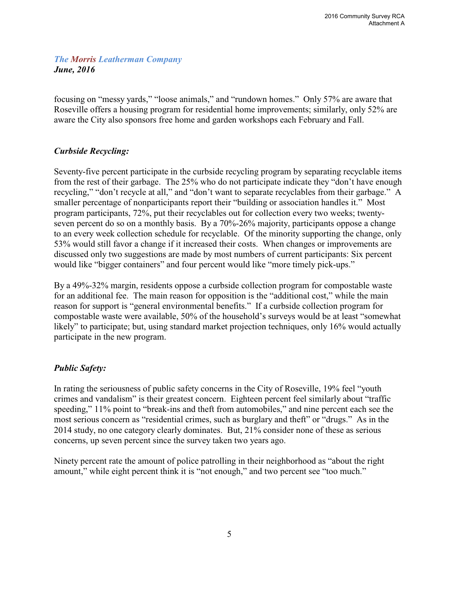focusing on "messy yards," "loose animals," and "rundown homes." Only 57% are aware that Roseville offers a housing program for residential home improvements; similarly, only 52% are aware the City also sponsors free home and garden workshops each February and Fall.

# *Curbside Recycling:*

Seventy-five percent participate in the curbside recycling program by separating recyclable items from the rest of their garbage. The 25% who do not participate indicate they "don't have enough recycling," "don't recycle at all," and "don't want to separate recyclables from their garbage." A smaller percentage of nonparticipants report their "building or association handles it." Most program participants, 72%, put their recyclables out for collection every two weeks; twentyseven percent do so on a monthly basis. By a 70%-26% majority, participants oppose a change to an every week collection schedule for recyclable. Of the minority supporting the change, only 53% would still favor a change if it increased their costs. When changes or improvements are discussed only two suggestions are made by most numbers of current participants: Six percent would like "bigger containers" and four percent would like "more timely pick-ups."

By a 49%-32% margin, residents oppose a curbside collection program for compostable waste for an additional fee. The main reason for opposition is the "additional cost," while the main reason for support is "general environmental benefits." If a curbside collection program for compostable waste were available, 50% of the household's surveys would be at least "somewhat likely" to participate; but, using standard market projection techniques, only 16% would actually participate in the new program.

#### *Public Safety:*

In rating the seriousness of public safety concerns in the City of Roseville, 19% feel "youth crimes and vandalism" is their greatest concern. Eighteen percent feel similarly about "traffic speeding," 11% point to "break-ins and theft from automobiles," and nine percent each see the most serious concern as "residential crimes, such as burglary and theft" or "drugs." As in the 2014 study, no one category clearly dominates. But, 21% consider none of these as serious concerns, up seven percent since the survey taken two years ago.

Ninety percent rate the amount of police patrolling in their neighborhood as "about the right amount," while eight percent think it is "not enough," and two percent see "too much."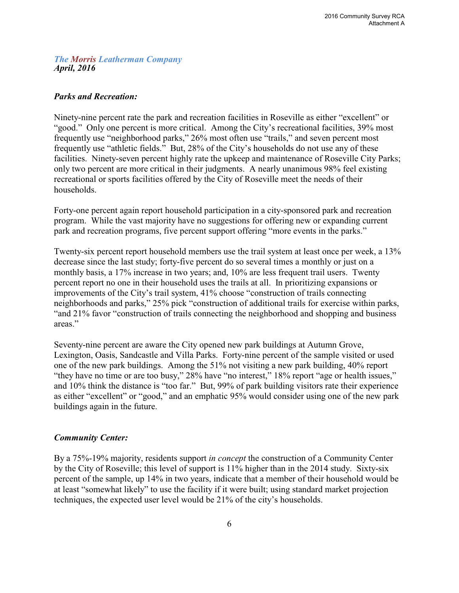#### *The Morris Leatherman Company April, 2016*

#### *Parks and Recreation:*

Ninety-nine percent rate the park and recreation facilities in Roseville as either "excellent" or "good." Only one percent is more critical. Among the City's recreational facilities, 39% most frequently use "neighborhood parks," 26% most often use "trails," and seven percent most frequently use "athletic fields." But, 28% of the City's households do not use any of these facilities. Ninety-seven percent highly rate the upkeep and maintenance of Roseville City Parks; only two percent are more critical in their judgments. A nearly unanimous 98% feel existing recreational or sports facilities offered by the City of Roseville meet the needs of their households.

Forty-one percent again report household participation in a city-sponsored park and recreation program. While the vast majority have no suggestions for offering new or expanding current park and recreation programs, five percent support offering "more events in the parks."

Twenty-six percent report household members use the trail system at least once per week, a 13% decrease since the last study; forty-five percent do so several times a monthly or just on a monthly basis, a 17% increase in two years; and, 10% are less frequent trail users. Twenty percent report no one in their household uses the trails at all. In prioritizing expansions or improvements of the City's trail system, 41% choose "construction of trails connecting neighborhoods and parks," 25% pick "construction of additional trails for exercise within parks, "and 21% favor "construction of trails connecting the neighborhood and shopping and business areas."

Seventy-nine percent are aware the City opened new park buildings at Autumn Grove, Lexington, Oasis, Sandcastle and Villa Parks. Forty-nine percent of the sample visited or used one of the new park buildings. Among the 51% not visiting a new park building, 40% report "they have no time or are too busy," 28% have "no interest," 18% report "age or health issues," and 10% think the distance is "too far." But, 99% of park building visitors rate their experience as either "excellent" or "good," and an emphatic 95% would consider using one of the new park buildings again in the future.

#### *Community Center:*

By a 75%-19% majority, residents support *in concept* the construction of a Community Center by the City of Roseville; this level of support is 11% higher than in the 2014 study. Sixty-six percent of the sample, up 14% in two years, indicate that a member of their household would be at least "somewhat likely" to use the facility if it were built; using standard market projection techniques, the expected user level would be 21% of the city's households.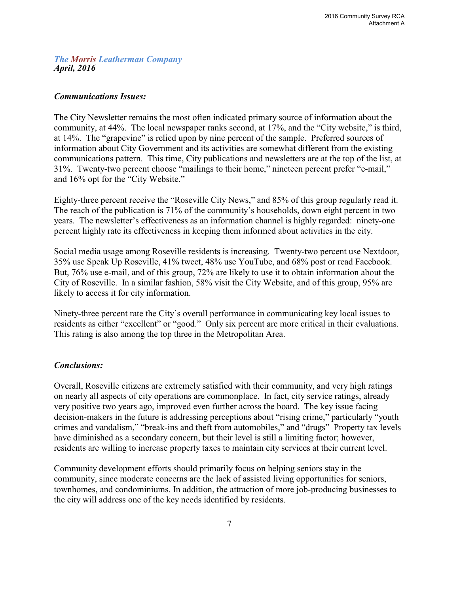*The Morris Leatherman Company April, 2016*

#### *Communications Issues:*

The City Newsletter remains the most often indicated primary source of information about the community, at 44%. The local newspaper ranks second, at 17%, and the "City website," is third, at 14%. The "grapevine" is relied upon by nine percent of the sample. Preferred sources of information about City Government and its activities are somewhat different from the existing communications pattern. This time, City publications and newsletters are at the top of the list, at 31%. Twenty-two percent choose "mailings to their home," nineteen percent prefer "e-mail," and 16% opt for the "City Website."

Eighty-three percent receive the "Roseville City News," and 85% of this group regularly read it. The reach of the publication is 71% of the community's households, down eight percent in two years. The newsletter's effectiveness as an information channel is highly regarded: ninety-one percent highly rate its effectiveness in keeping them informed about activities in the city.

Social media usage among Roseville residents is increasing. Twenty-two percent use Nextdoor, 35% use Speak Up Roseville, 41% tweet, 48% use YouTube, and 68% post or read Facebook. But, 76% use e-mail, and of this group, 72% are likely to use it to obtain information about the City of Roseville. In a similar fashion, 58% visit the City Website, and of this group, 95% are likely to access it for city information.

Ninety-three percent rate the City's overall performance in communicating key local issues to residents as either "excellent" or "good." Only six percent are more critical in their evaluations. This rating is also among the top three in the Metropolitan Area.

#### *Conclusions:*

Overall, Roseville citizens are extremely satisfied with their community, and very high ratings on nearly all aspects of city operations are commonplace. In fact, city service ratings, already very positive two years ago, improved even further across the board. The key issue facing decision-makers in the future is addressing perceptions about "rising crime," particularly "youth crimes and vandalism," "break-ins and theft from automobiles," and "drugs" Property tax levels have diminished as a secondary concern, but their level is still a limiting factor; however, residents are willing to increase property taxes to maintain city services at their current level.

Community development efforts should primarily focus on helping seniors stay in the community, since moderate concerns are the lack of assisted living opportunities for seniors, townhomes, and condominiums. In addition, the attraction of more job-producing businesses to the city will address one of the key needs identified by residents.